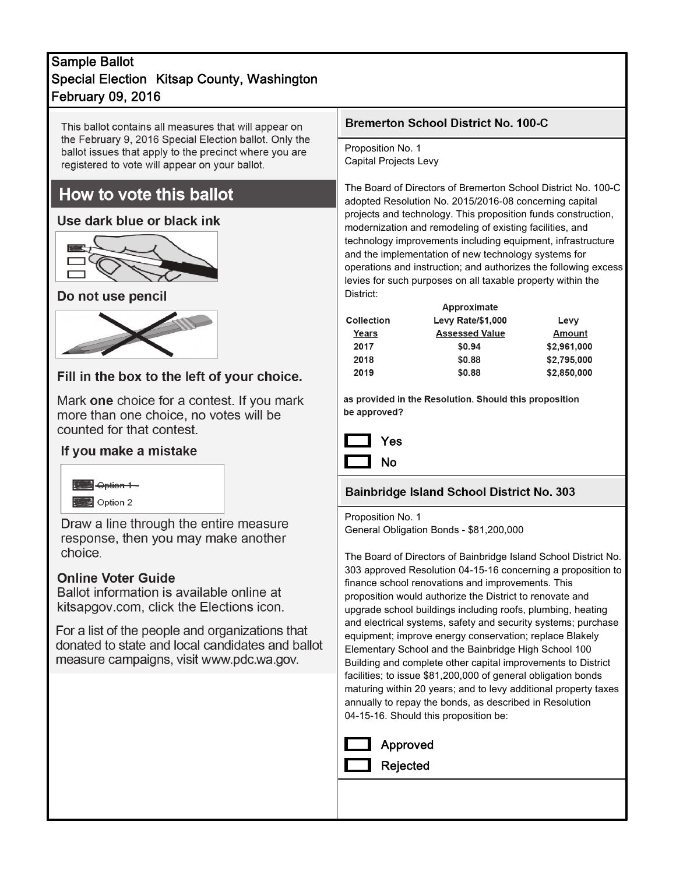## February 09, 2016 Sample Ballot Special Election Kitsap County, Washington

This ballot contains all measures that will appear on the February 9, 2016 Special Election ballot. Only the ballot issues that apply to the precinct where you are registered to vote will appear on your ballot.

# How to vote this ballot

#### Use dark blue or black ink



### Do not use pencil



### Fill in the box to the left of your choice.

Mark one choice for a contest. If you mark more than one choice, no votes will be counted for that contest.

### If you make a mistake



Draw a line through the entire measure response, then you may make another choice.

#### **Online Voter Guide**

Ballot information is available online at kitsapgov.com, click the Elections icon.

For a list of the people and organizations that donated to state and local candidates and ballot measure campaigns, visit www.pdc.wa.gov.

#### **Bremerton School District No. 100-C**

Proposition No. 1 Capital Projects Levy

The Board of Directors of Bremerton School District No. 100-C adopted Resolution No. 2015/2016-08 concerning capital projects and technology. This proposition funds construction, modernization and remodeling of existing facilities, and technology improvements including equipment, infrastructure and the implementation of new technology systems for operations and instruction; and authorizes the following excess levies for such purposes on all taxable property within the District:

| Approximate              |             |  |  |  |
|--------------------------|-------------|--|--|--|
| <b>Levy Rate/\$1,000</b> | Levy        |  |  |  |
| <b>Assessed Value</b>    | Amount      |  |  |  |
| \$0.94                   | \$2,961,000 |  |  |  |
| \$0.88                   | \$2,795,000 |  |  |  |
| \$0.88                   | \$2,850,000 |  |  |  |
|                          |             |  |  |  |

as provided in the Resolution. Should this proposition be approved?



# **Bainbridge Island School District No. 303**

Proposition No. 1 General Obligation Bonds - \$81,200,000

The Board of Directors of Bainbridge Island School District No. 303 approved Resolution 04-15-16 concerning a proposition to finance school renovations and improvements. This proposition would authorize the District to renovate and upgrade school buildings including roofs, plumbing, heating and electrical systems, safety and security systems; purchase equipment; improve energy conservation; replace Blakely Elementary School and the Bainbridge High School 100 Building and complete other capital improvements to District facilities; to issue \$81,200,000 of general obligation bonds maturing within 20 years; and to levy additional property taxes annually to repay the bonds, as described in Resolution 04-15-16. Should this proposition be:

| Approved        |
|-----------------|
| <b>Rejected</b> |